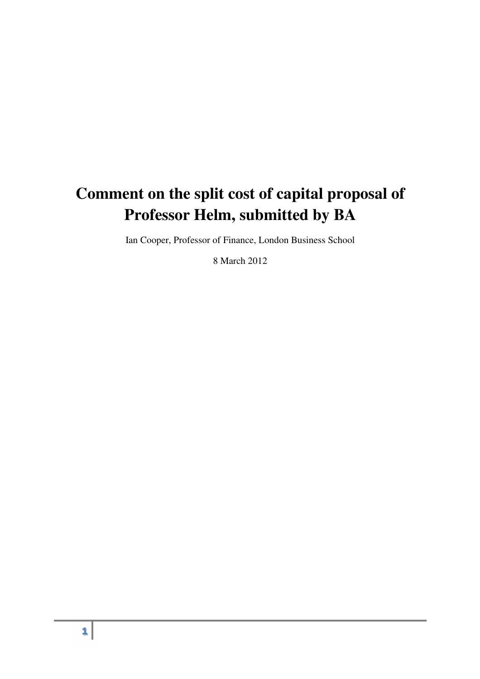# **Comment on the split cost of capital proposal of Professor Helm, submitted by BA**

Ian Cooper, Professor of Finance, London Business School

8 March 2012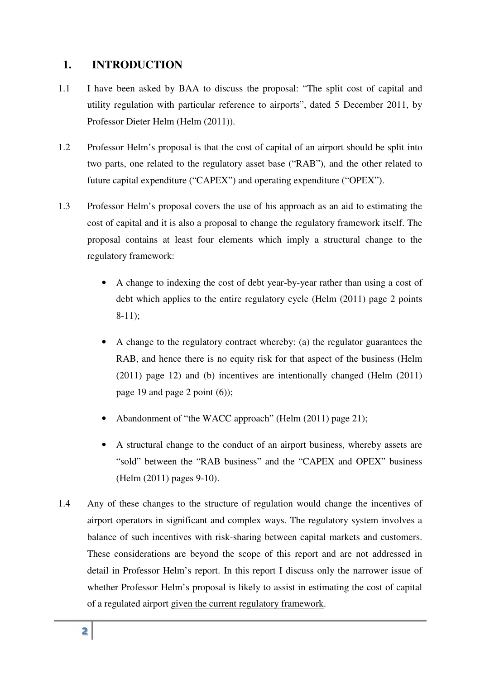- 1.1 I have been asked by BAA to discuss the proposal: "The split cost of capital and utility regulation with particular reference to airports", dated 5 December 2011, by Professor Dieter Helm (Helm (2011)).
- 1.2 Professor Helm's proposal is that the cost of capital of an airport should be split into two parts, one related to the regulatory asset base ("RAB"), and the other related to future capital expenditure ("CAPEX") and operating expenditure ("OPEX").
- 1.3 Professor Helm's proposal covers the use of his approach as an aid to estimating the cost of capital and it is also a proposal to change the regulatory framework itself. The proposal contains at least four elements which imply a structural change to the regulatory framework:
	- A change to indexing the cost of debt year-by-year rather than using a cost of debt which applies to the entire regulatory cycle (Helm (2011) page 2 points 8-11);
	- A change to the regulatory contract whereby: (a) the regulator guarantees the RAB, and hence there is no equity risk for that aspect of the business (Helm (2011) page 12) and (b) incentives are intentionally changed (Helm (2011) page 19 and page 2 point (6));
	- Abandonment of "the WACC approach" (Helm (2011) page 21);
	- A structural change to the conduct of an airport business, whereby assets are "sold" between the "RAB business" and the "CAPEX and OPEX" business (Helm (2011) pages 9-10).
- 1. **INTRODUCTION**<br>
1 **I** have been asked by B<br>
utility regulation with pa<br>
Professor Dieter Helm (H<br>
2 Professor Helm's propos<br>
two parts, one related to<br>
future capital expenditure<br>
3 Professor Helm's propos<br>
cost of capi 1.4 Any of these changes to the structure of regulation would change the incentives of airport operators in significant and complex ways. The regulatory system involves a balance of such incentives with risk-sharing between capital markets and customers. These considerations are beyond the scope of this report and are not addressed in detail in Professor Helm's report. In this report I discuss only the narrower issue of whether Professor Helm's proposal is likely to assist in estimating the cost of capital of a regulated airport given the current regulatory framework.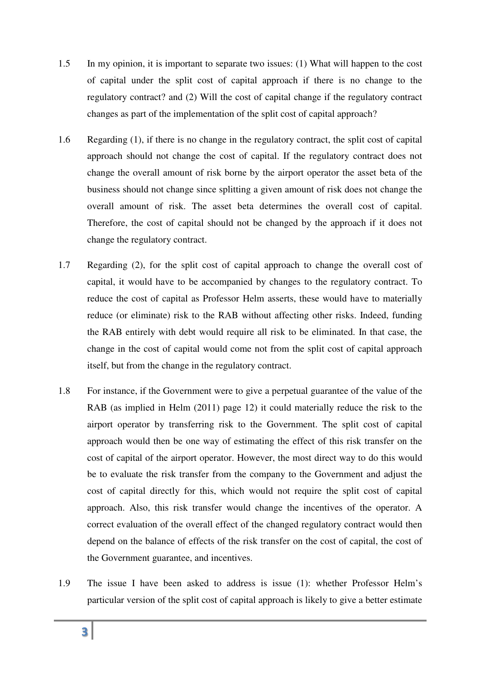- 1.5 In my opinion, it is important to separate two issues: (1) What will happen to the cost of capital under the split cost of capital approach if there is no change to the regulatory contract? and (2) Will the cost of capital change if the regulatory contract changes as part of the implementation of the split cost of capital approach?
- 1.6 Regarding (1), if there is no change in the regulatory contract, the split cost of capital approach should not change the cost of capital. If the regulatory contract does not change the overall amount of risk borne by the airport operator the asset beta of the business should not change since splitting a given amount of risk does not change the overall amount of risk. The asset beta determines the overall cost of capital. Therefore, the cost of capital should not be changed by the approach if it does not change the regulatory contract.
- 1.7 Regarding (2), for the split cost of capital approach to change the overall cost of capital, it would have to be accompanied by changes to the regulatory contract. To reduce the cost of capital as Professor Helm asserts, these would have to materially reduce (or eliminate) risk to the RAB without affecting other risks. Indeed, funding the RAB entirely with debt would require all risk to be eliminated. In that case, the change in the cost of capital would come not from the split cost of capital approach itself, but from the change in the regulatory contract.
- 1.8 For instance, if the Government were to give a perpetual guarantee of the value of the RAB (as implied in Helm (2011) page 12) it could materially reduce the risk to the airport operator by transferring risk to the Government. The split cost of capital approach would then be one way of estimating the effect of this risk transfer on the cost of capital of the airport operator. However, the most direct way to do this would be to evaluate the risk transfer from the company to the Government and adjust the cost of capital directly for this, which would not require the split cost of capital approach. Also, this risk transfer would change the incentives of the operator. A correct evaluation of the overall effect of the changed regulatory contract would then depend on the balance of effects of the risk transfer on the cost of capital, the cost of the Government guarantee, and incentives.
- 1.9 The issue I have been asked to address is issue (1): whether Professor Helm's particular version of the split cost of capital approach is likely to give a better estimate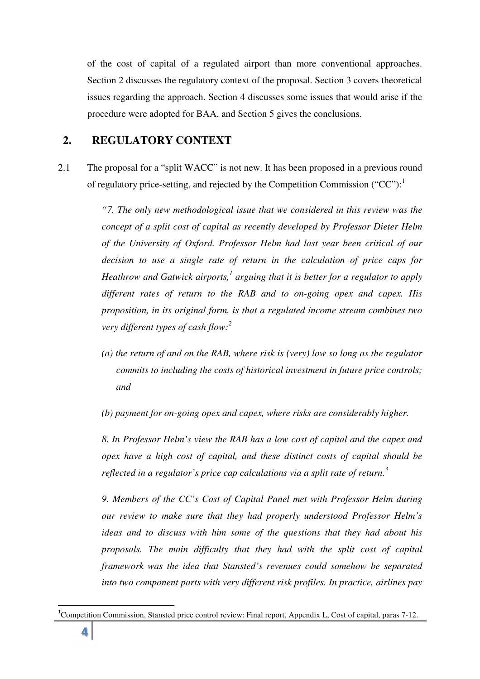of the cost of capital of a regulated airport than more conventional approaches. Section 2 discusses the regulatory context of the proposal. Section 3 covers theoretical issues regarding the approach. Section 4 discusses some issues that would arise if the procedure were adopted for BAA, and Section 5 gives the conclusions.

### **2. REGULATORY CONTEXT**

2.1 The proposal for a "split WACC" is not new. It has been proposed in a previous round of regulatory price-setting, and rejected by the Competition Commission ("CC"): $<sup>1</sup>$ </sup>

> *"7. The only new methodological issue that we considered in this review was the concept of a split cost of capital as recently developed by Professor Dieter Helm of the University of Oxford. Professor Helm had last year been critical of our decision to use a single rate of return in the calculation of price caps for*  Heathrow and Gatwick airports,<sup>1</sup> arguing that it is better for a regulator to apply *different rates of return to the RAB and to on-going opex and capex. His proposition, in its original form, is that a regulated income stream combines two very different types of cash flow:<sup>2</sup>*

> *(a) the return of and on the RAB, where risk is (very) low so long as the regulator commits to including the costs of historical investment in future price controls; and*

*(b) payment for on-going opex and capex, where risks are considerably higher.* 

*8. In Professor Helm's view the RAB has a low cost of capital and the capex and opex have a high cost of capital, and these distinct costs of capital should be reflected in a regulator's price cap calculations via a split rate of return.<sup>3</sup>* 

*9. Members of the CC's Cost of Capital Panel met with Professor Helm during our review to make sure that they had properly understood Professor Helm's ideas and to discuss with him some of the questions that they had about his proposals. The main difficulty that they had with the split cost of capital framework was the idea that Stansted's revenues could somehow be separated into two component parts with very different risk profiles. In practice, airlines pay* 

 $\overline{a}$ 

<sup>&</sup>lt;sup>1</sup>Competition Commission, Stansted price control review: Final report, Appendix L, Cost of capital, paras 7-12.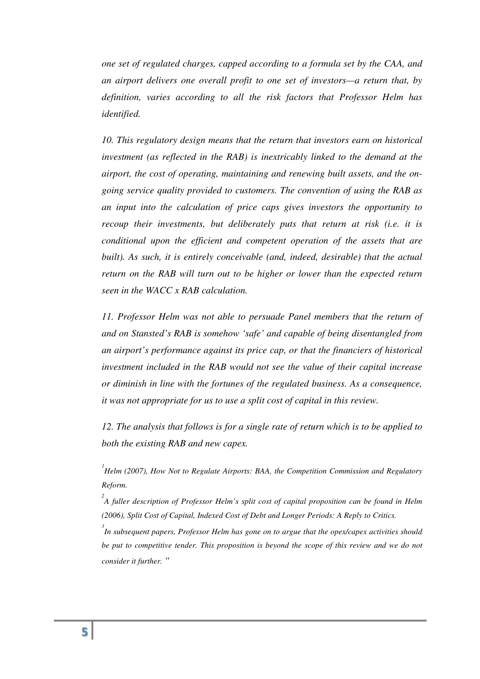*one set of regulated charges, capped according to a formula set by the CAA, and an airport delivers one overall profit to one set of investors—a return that, by definition, varies according to all the risk factors that Professor Helm has identified.* 

*10. This regulatory design means that the return that investors earn on historical investment (as reflected in the RAB) is inextricably linked to the demand at the airport, the cost of operating, maintaining and renewing built assets, and the ongoing service quality provided to customers. The convention of using the RAB as an input into the calculation of price caps gives investors the opportunity to recoup their investments, but deliberately puts that return at risk (i.e. it is conditional upon the efficient and competent operation of the assets that are built). As such, it is entirely conceivable (and, indeed, desirable) that the actual return on the RAB will turn out to be higher or lower than the expected return seen in the WACC x RAB calculation.* 

*11. Professor Helm was not able to persuade Panel members that the return of and on Stansted's RAB is somehow 'safe' and capable of being disentangled from an airport's performance against its price cap, or that the financiers of historical investment included in the RAB would not see the value of their capital increase or diminish in line with the fortunes of the regulated business. As a consequence, it was not appropriate for us to use a split cost of capital in this review.* 

*12. The analysis that follows is for a single rate of return which is to be applied to both the existing RAB and new capex.* 

<sup>1</sup><br> *Helm (2007), How Not to Regulate Airports: BAA, the Competition Commission and Regulatory Reform.* 

*2 A fuller description of Professor Helm's split cost of capital proposition can be found in Helm (2006), Split Cost of Capital, Indexed Cost of Debt and Longer Periods: A Reply to Critics.* 

*3 In subsequent papers, Professor Helm has gone on to argue that the opex/capex activities should be put to competitive tender. This proposition is beyond the scope of this review and we do not consider it further. "*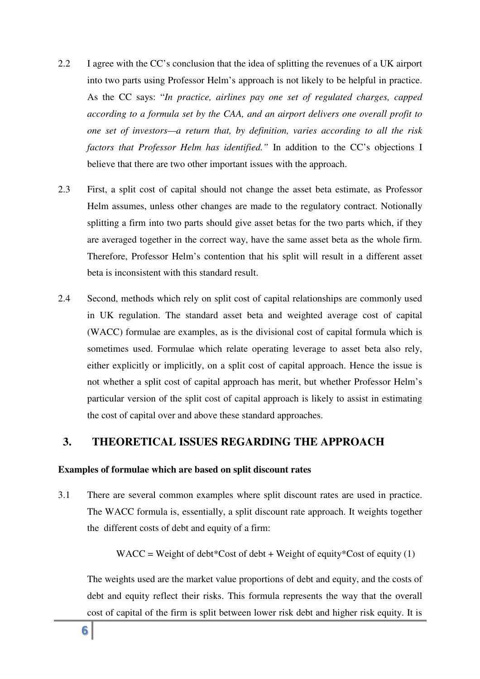- 2.2 I agree with the CC's conclusion that the idea of splitting the revenues of a UK airport into two parts using Professor Helm's approach is not likely to be helpful in practice. As the CC says: "*In practice, airlines pay one set of regulated charges, capped according to a formula set by the CAA, and an airport delivers one overall profit to one set of investors—a return that, by definition, varies according to all the risk factors that Professor Helm has identified."* In addition to the CC's objections I believe that there are two other important issues with the approach.
- 2.3 First, a split cost of capital should not change the asset beta estimate, as Professor Helm assumes, unless other changes are made to the regulatory contract. Notionally splitting a firm into two parts should give asset betas for the two parts which, if they are averaged together in the correct way, have the same asset beta as the whole firm. Therefore, Professor Helm's contention that his split will result in a different asset beta is inconsistent with this standard result.
- 2.4 Second, methods which rely on split cost of capital relationships are commonly used in UK regulation. The standard asset beta and weighted average cost of capital (WACC) formulae are examples, as is the divisional cost of capital formula which is sometimes used. Formulae which relate operating leverage to asset beta also rely, either explicitly or implicitly, on a split cost of capital approach. Hence the issue is not whether a split cost of capital approach has merit, but whether Professor Helm's particular version of the split cost of capital approach is likely to assist in estimating the cost of capital over and above these standard approaches.

#### **3. THEORETICAL ISSUES REGARDING THE APPROACH**

#### **Examples of formulae which are based on split discount rates**

3.1 There are several common examples where split discount rates are used in practice. The WACC formula is, essentially, a split discount rate approach. It weights together the different costs of debt and equity of a firm:

WACC = Weight of debt\*Cost of debt + Weight of equity\*Cost of equity (1)

The weights used are the market value proportions of debt and equity, and the costs of debt and equity reflect their risks. This formula represents the way that the overall cost of capital of the firm is split between lower risk debt and higher risk equity. It is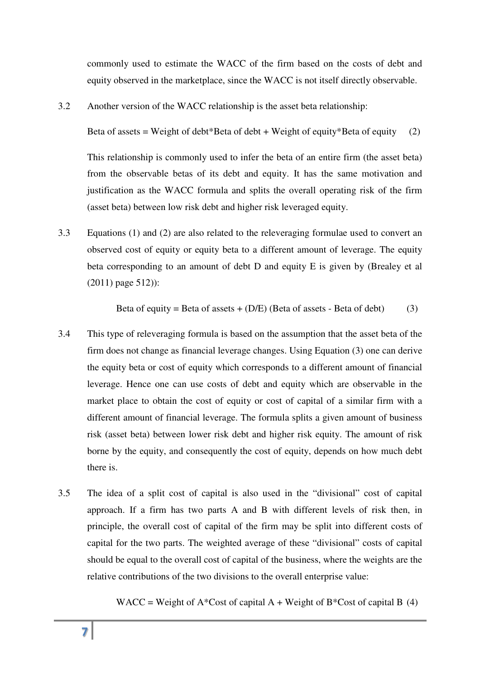commonly used to estimate the WACC of the firm based on the costs of debt and equity observed in the marketplace, since the WACC is not itself directly observable.

3.2 Another version of the WACC relationship is the asset beta relationship:

Beta of assets = Weight of debt\*Beta of debt + Weight of equity\*Beta of equity (2)

This relationship is commonly used to infer the beta of an entire firm (the asset beta) from the observable betas of its debt and equity. It has the same motivation and justification as the WACC formula and splits the overall operating risk of the firm (asset beta) between low risk debt and higher risk leveraged equity.

3.3 Equations (1) and (2) are also related to the releveraging formulae used to convert an observed cost of equity or equity beta to a different amount of leverage. The equity beta corresponding to an amount of debt D and equity E is given by (Brealey et al (2011) page 512)):

Beta of equity = Beta of assets + 
$$
(D/E)
$$
 (Beta of assets - Beta of debt) (3)

- 3.4 This type of releveraging formula is based on the assumption that the asset beta of the firm does not change as financial leverage changes. Using Equation (3) one can derive the equity beta or cost of equity which corresponds to a different amount of financial leverage. Hence one can use costs of debt and equity which are observable in the market place to obtain the cost of equity or cost of capital of a similar firm with a different amount of financial leverage. The formula splits a given amount of business risk (asset beta) between lower risk debt and higher risk equity. The amount of risk borne by the equity, and consequently the cost of equity, depends on how much debt there is.
- 3.5 The idea of a split cost of capital is also used in the "divisional" cost of capital approach. If a firm has two parts A and B with different levels of risk then, in principle, the overall cost of capital of the firm may be split into different costs of capital for the two parts. The weighted average of these "divisional" costs of capital should be equal to the overall cost of capital of the business, where the weights are the relative contributions of the two divisions to the overall enterprise value:

WACC = Weight of  $A^*Cost$  of capital  $A + Weight$  of  $B^*Cost$  of capital B (4)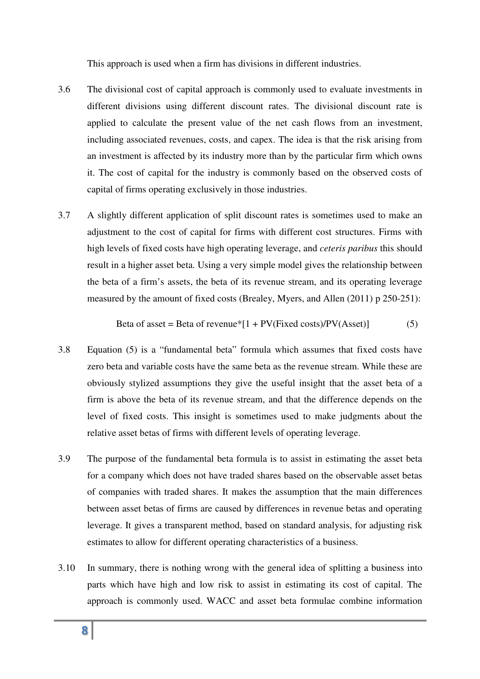This approach is used when a firm has divisions in different industries.

- 3.6 The divisional cost of capital approach is commonly used to evaluate investments in different divisions using different discount rates. The divisional discount rate is applied to calculate the present value of the net cash flows from an investment, including associated revenues, costs, and capex. The idea is that the risk arising from an investment is affected by its industry more than by the particular firm which owns it. The cost of capital for the industry is commonly based on the observed costs of capital of firms operating exclusively in those industries.
- 3.7 A slightly different application of split discount rates is sometimes used to make an adjustment to the cost of capital for firms with different cost structures. Firms with high levels of fixed costs have high operating leverage, and *ceteris paribus* this should result in a higher asset beta. Using a very simple model gives the relationship between the beta of a firm's assets, the beta of its revenue stream, and its operating leverage measured by the amount of fixed costs (Brealey, Myers, and Allen (2011) p 250-251):

Beta of asset = Beta of revenue\* 
$$
[1 + PV
$$
(Fixed costs)/PV(Asset)] (5)

- 3.8 Equation (5) is a "fundamental beta" formula which assumes that fixed costs have zero beta and variable costs have the same beta as the revenue stream. While these are obviously stylized assumptions they give the useful insight that the asset beta of a firm is above the beta of its revenue stream, and that the difference depends on the level of fixed costs. This insight is sometimes used to make judgments about the relative asset betas of firms with different levels of operating leverage.
- 3.9 The purpose of the fundamental beta formula is to assist in estimating the asset beta for a company which does not have traded shares based on the observable asset betas of companies with traded shares. It makes the assumption that the main differences between asset betas of firms are caused by differences in revenue betas and operating leverage. It gives a transparent method, based on standard analysis, for adjusting risk estimates to allow for different operating characteristics of a business.
- 3.10 In summary, there is nothing wrong with the general idea of splitting a business into parts which have high and low risk to assist in estimating its cost of capital. The approach is commonly used. WACC and asset beta formulae combine information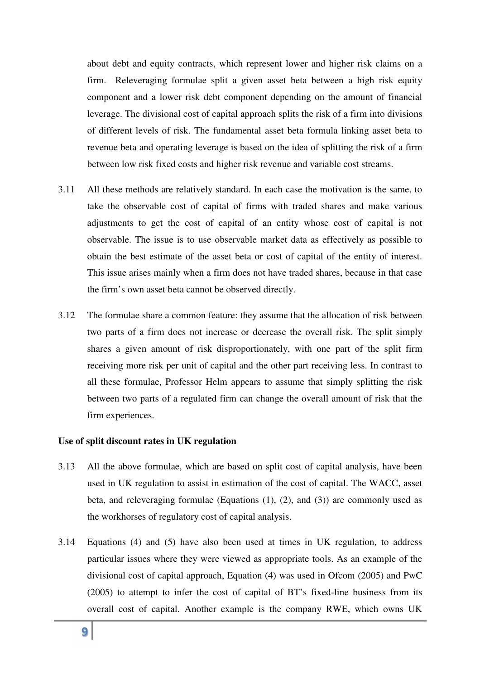about debt and equity contracts, which represent lower and higher risk claims on a firm. Releveraging formulae split a given asset beta between a high risk equity component and a lower risk debt component depending on the amount of financial leverage. The divisional cost of capital approach splits the risk of a firm into divisions of different levels of risk. The fundamental asset beta formula linking asset beta to revenue beta and operating leverage is based on the idea of splitting the risk of a firm between low risk fixed costs and higher risk revenue and variable cost streams.

- 3.11 All these methods are relatively standard. In each case the motivation is the same, to take the observable cost of capital of firms with traded shares and make various adjustments to get the cost of capital of an entity whose cost of capital is not observable. The issue is to use observable market data as effectively as possible to obtain the best estimate of the asset beta or cost of capital of the entity of interest. This issue arises mainly when a firm does not have traded shares, because in that case the firm's own asset beta cannot be observed directly.
- 3.12 The formulae share a common feature: they assume that the allocation of risk between two parts of a firm does not increase or decrease the overall risk. The split simply shares a given amount of risk disproportionately, with one part of the split firm receiving more risk per unit of capital and the other part receiving less. In contrast to all these formulae, Professor Helm appears to assume that simply splitting the risk between two parts of a regulated firm can change the overall amount of risk that the firm experiences.

#### **Use of split discount rates in UK regulation**

- 3.13 All the above formulae, which are based on split cost of capital analysis, have been used in UK regulation to assist in estimation of the cost of capital. The WACC, asset beta, and releveraging formulae (Equations (1), (2), and (3)) are commonly used as the workhorses of regulatory cost of capital analysis.
- 3.14 Equations (4) and (5) have also been used at times in UK regulation, to address particular issues where they were viewed as appropriate tools. As an example of the divisional cost of capital approach, Equation (4) was used in Ofcom (2005) and PwC (2005) to attempt to infer the cost of capital of BT's fixed-line business from its overall cost of capital. Another example is the company RWE, which owns UK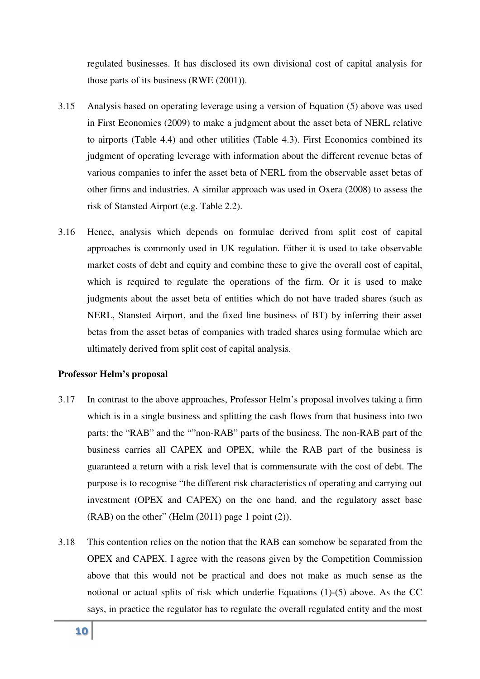regulated businesses. It has disclosed its own divisional cost of capital analysis for those parts of its business (RWE (2001)).

- 3.15 Analysis based on operating leverage using a version of Equation (5) above was used in First Economics (2009) to make a judgment about the asset beta of NERL relative to airports (Table 4.4) and other utilities (Table 4.3). First Economics combined its judgment of operating leverage with information about the different revenue betas of various companies to infer the asset beta of NERL from the observable asset betas of other firms and industries. A similar approach was used in Oxera (2008) to assess the risk of Stansted Airport (e.g. Table 2.2).
- 3.16 Hence, analysis which depends on formulae derived from split cost of capital approaches is commonly used in UK regulation. Either it is used to take observable market costs of debt and equity and combine these to give the overall cost of capital, which is required to regulate the operations of the firm. Or it is used to make judgments about the asset beta of entities which do not have traded shares (such as NERL, Stansted Airport, and the fixed line business of BT) by inferring their asset betas from the asset betas of companies with traded shares using formulae which are ultimately derived from split cost of capital analysis.

#### **Professor Helm's proposal**

- 3.17 In contrast to the above approaches, Professor Helm's proposal involves taking a firm which is in a single business and splitting the cash flows from that business into two parts: the "RAB" and the ""non-RAB" parts of the business. The non-RAB part of the business carries all CAPEX and OPEX, while the RAB part of the business is guaranteed a return with a risk level that is commensurate with the cost of debt. The purpose is to recognise "the different risk characteristics of operating and carrying out investment (OPEX and CAPEX) on the one hand, and the regulatory asset base (RAB) on the other" (Helm (2011) page 1 point (2)).
- 3.18 This contention relies on the notion that the RAB can somehow be separated from the OPEX and CAPEX. I agree with the reasons given by the Competition Commission above that this would not be practical and does not make as much sense as the notional or actual splits of risk which underlie Equations (1)-(5) above. As the CC says, in practice the regulator has to regulate the overall regulated entity and the most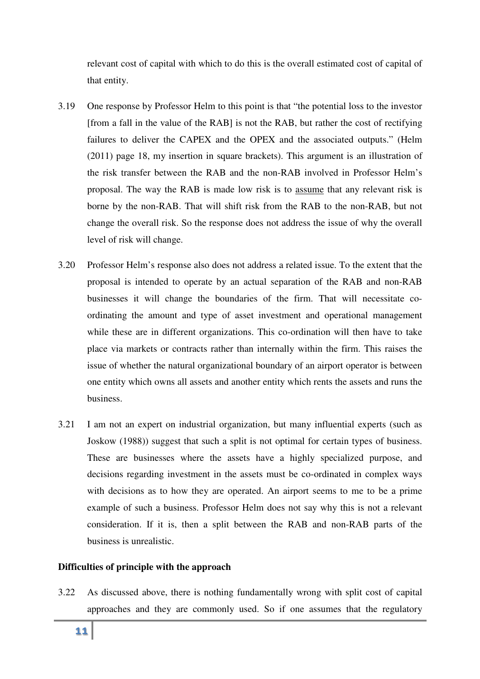relevant cost of capital with which to do this is the overall estimated cost of capital of that entity.

- 3.19 One response by Professor Helm to this point is that "the potential loss to the investor [from a fall in the value of the RAB] is not the RAB, but rather the cost of rectifying failures to deliver the CAPEX and the OPEX and the associated outputs." (Helm (2011) page 18, my insertion in square brackets). This argument is an illustration of the risk transfer between the RAB and the non-RAB involved in Professor Helm's proposal. The way the RAB is made low risk is to assume that any relevant risk is borne by the non-RAB. That will shift risk from the RAB to the non-RAB, but not change the overall risk. So the response does not address the issue of why the overall level of risk will change.
- 3.20 Professor Helm's response also does not address a related issue. To the extent that the proposal is intended to operate by an actual separation of the RAB and non-RAB businesses it will change the boundaries of the firm. That will necessitate coordinating the amount and type of asset investment and operational management while these are in different organizations. This co-ordination will then have to take place via markets or contracts rather than internally within the firm. This raises the issue of whether the natural organizational boundary of an airport operator is between one entity which owns all assets and another entity which rents the assets and runs the business.
- 3.21 I am not an expert on industrial organization, but many influential experts (such as Joskow (1988)) suggest that such a split is not optimal for certain types of business. These are businesses where the assets have a highly specialized purpose, and decisions regarding investment in the assets must be co-ordinated in complex ways with decisions as to how they are operated. An airport seems to me to be a prime example of such a business. Professor Helm does not say why this is not a relevant consideration. If it is, then a split between the RAB and non-RAB parts of the business is unrealistic.

#### **Difficulties of principle with the approach**

3.22 As discussed above, there is nothing fundamentally wrong with split cost of capital approaches and they are commonly used. So if one assumes that the regulatory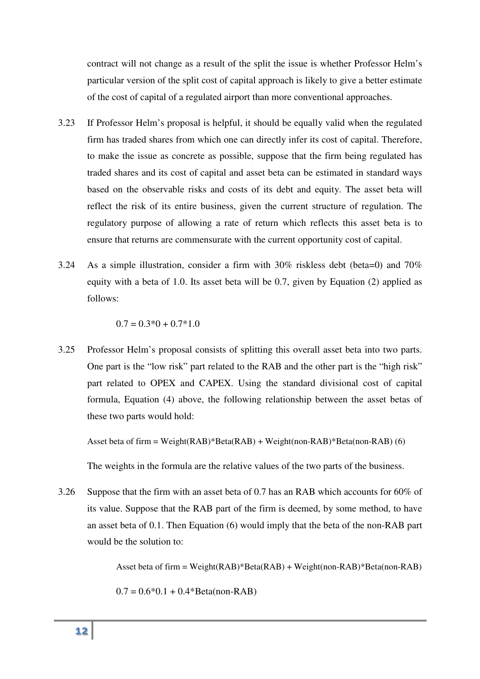particular version of the split cost of capital approach is likely to give a better estimate of the cost of capital of a regulated airport than more conventional approaches.

- contract will not change as a result of the split the issue is whether Professor Helm's<br>particular version of the split cost of capital approach is likely to give a better estimate<br>of the cost of capital of a regulated ai 3.23 If Professor Helm's proposal is helpful, it should be equally valid when the regulated firm has traded shares from which one can directly infer its cost of capital. Therefore, to make the issue as concrete as possible, suppose that the firm being regulated has traded shares and its cost of capital and asset beta can be estimated in standard ways based on the observable risks and costs of its debt and equity. The asset beta will reflect the risk of its entire business, given the current structure of regulation. The regulatory purpose of allowing a rate of return which reflects this asset beta is to ensure that returns are commensurate with the current opportunity cost of capital.
- 3.24 As a simple illustration, consider a firm with 30% riskless debt (beta=0) and 70% equity with a beta of 1.0. Its asset beta will be 0.7, given by Equation (2) applied as follows:

 $0.7 = 0.3*0 + 0.7*1.0$ 

3.25 Professor Helm's proposal consists of splitting this overall asset beta into two parts. One part is the "low risk" part related to the RAB and the other part is the "high risk" part related to OPEX and CAPEX. Using the standard divisional cost of capital formula, Equation (4) above, the following relationship between the asset betas of these two parts would hold:

Asset beta of firm = Weight(RAB)\*Beta(RAB) + Weight(non-RAB)\*Beta(non-RAB) (6)

The weights in the formula are the relative values of the two parts of the business.

3.26 Suppose that the firm with an asset beta of 0.7 has an RAB which accounts for 60% of its value. Suppose that the RAB part of the firm is deemed, by some method, to have an asset beta of 0.1. Then Equation (6) would imply that the beta of the non-RAB part would be the solution to:

Asset beta of firm = Weight(RAB)\*Beta(RAB) + Weight(non-RAB)\*Beta(non-RAB)

$$
0.7 = 0.6*0.1 + 0.4*Beta(non-RAB)
$$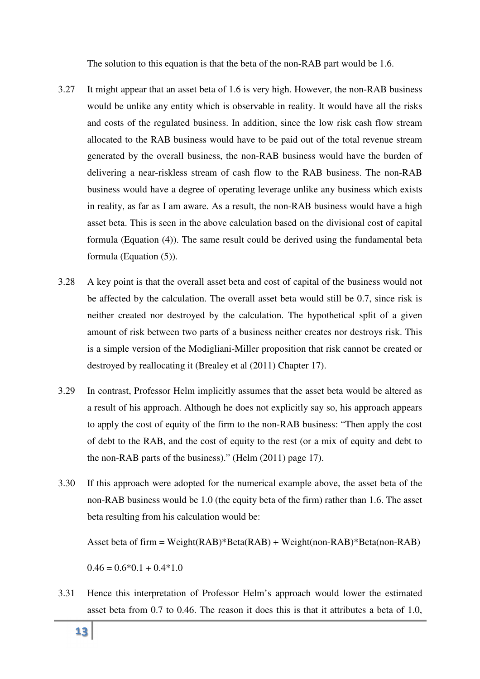The solution to this equation is that the beta of the non-RAB part would be 1.6.

- 3.27 It might appear that an asset beta of 1.6 is very high. However, the non-RAB business would be unlike any entity which is observable in reality. It would have all the risks and costs of the regulated business. In addition, since the low risk cash flow stream allocated to the RAB business would have to be paid out of the total revenue stream generated by the overall business, the non-RAB business would have the burden of delivering a near-riskless stream of cash flow to the RAB business. The non-RAB business would have a degree of operating leverage unlike any business which exists in reality, as far as I am aware. As a result, the non-RAB business would have a high asset beta. This is seen in the above calculation based on the divisional cost of capital formula (Equation (4)). The same result could be derived using the fundamental beta formula (Equation (5)).
- 3.28 A key point is that the overall asset beta and cost of capital of the business would not be affected by the calculation. The overall asset beta would still be 0.7, since risk is neither created nor destroyed by the calculation. The hypothetical split of a given amount of risk between two parts of a business neither creates nor destroys risk. This is a simple version of the Modigliani-Miller proposition that risk cannot be created or destroyed by reallocating it (Brealey et al (2011) Chapter 17).
- 3.29 In contrast, Professor Helm implicitly assumes that the asset beta would be altered as a result of his approach. Although he does not explicitly say so, his approach appears to apply the cost of equity of the firm to the non-RAB business: "Then apply the cost of debt to the RAB, and the cost of equity to the rest (or a mix of equity and debt to the non-RAB parts of the business)." (Helm (2011) page 17).
- 3.30 If this approach were adopted for the numerical example above, the asset beta of the non-RAB business would be 1.0 (the equity beta of the firm) rather than 1.6. The asset beta resulting from his calculation would be:

Asset beta of firm = Weight(RAB)\*Beta(RAB) + Weight(non-RAB)\*Beta(non-RAB)

 $0.46 = 0.6*0.1 + 0.4*1.0$ 

3.31 Hence this interpretation of Professor Helm's approach would lower the estimated asset beta from 0.7 to 0.46. The reason it does this is that it attributes a beta of 1.0,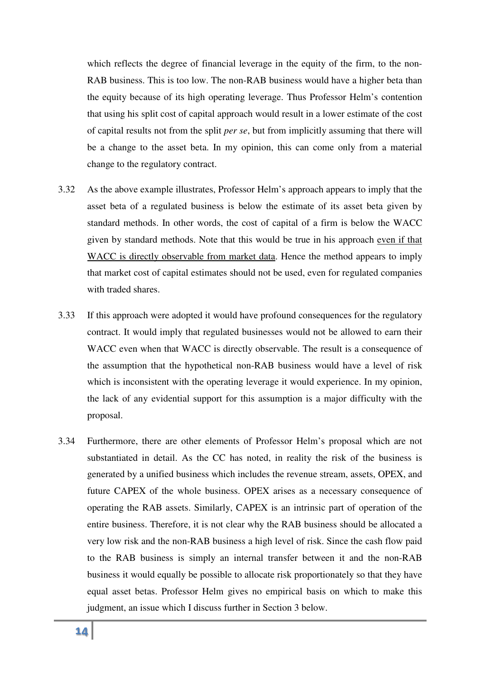which reflects the degree of financial leverage in the equity of the firm, to the non-RAB business. This is too low. The non-RAB business would have a higher beta than the equity because of its high operating leverage. Thus Professor Helm's contention that using his split cost of capital approach would result in a lower estimate of the cost of capital results not from the split *per se*, but from implicitly assuming that there will be a change to the asset beta. In my opinion, this can come only from a material change to the regulatory contract.

- 3.32 As the above example illustrates, Professor Helm's approach appears to imply that the asset beta of a regulated business is below the estimate of its asset beta given by standard methods. In other words, the cost of capital of a firm is below the WACC given by standard methods. Note that this would be true in his approach even if that WACC is directly observable from market data. Hence the method appears to imply that market cost of capital estimates should not be used, even for regulated companies with traded shares.
- 3.33 If this approach were adopted it would have profound consequences for the regulatory contract. It would imply that regulated businesses would not be allowed to earn their WACC even when that WACC is directly observable. The result is a consequence of the assumption that the hypothetical non-RAB business would have a level of risk which is inconsistent with the operating leverage it would experience. In my opinion, the lack of any evidential support for this assumption is a major difficulty with the proposal.
- 3.34 Furthermore, there are other elements of Professor Helm's proposal which are not substantiated in detail. As the CC has noted, in reality the risk of the business is generated by a unified business which includes the revenue stream, assets, OPEX, and future CAPEX of the whole business. OPEX arises as a necessary consequence of operating the RAB assets. Similarly, CAPEX is an intrinsic part of operation of the entire business. Therefore, it is not clear why the RAB business should be allocated a very low risk and the non-RAB business a high level of risk. Since the cash flow paid to the RAB business is simply an internal transfer between it and the non-RAB business it would equally be possible to allocate risk proportionately so that they have equal asset betas. Professor Helm gives no empirical basis on which to make this judgment, an issue which I discuss further in Section 3 below.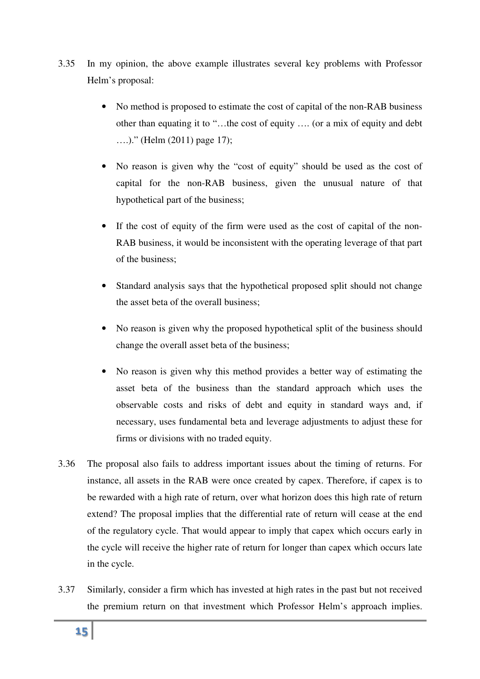- 3.35 In my opinion, the above example illustrates several key problems with Professor Helm's proposal:
	- No method is proposed to estimate the cost of capital of the non-RAB business other than equating it to "…the cost of equity …. (or a mix of equity and debt ….)." (Helm (2011) page 17);
	- No reason is given why the "cost of equity" should be used as the cost of capital for the non-RAB business, given the unusual nature of that hypothetical part of the business;
	- If the cost of equity of the firm were used as the cost of capital of the non-RAB business, it would be inconsistent with the operating leverage of that part of the business;
	- Standard analysis says that the hypothetical proposed split should not change the asset beta of the overall business;
	- No reason is given why the proposed hypothetical split of the business should change the overall asset beta of the business;
	- No reason is given why this method provides a better way of estimating the asset beta of the business than the standard approach which uses the observable costs and risks of debt and equity in standard ways and, if necessary, uses fundamental beta and leverage adjustments to adjust these for firms or divisions with no traded equity.
- 3.36 The proposal also fails to address important issues about the timing of returns. For instance, all assets in the RAB were once created by capex. Therefore, if capex is to be rewarded with a high rate of return, over what horizon does this high rate of return extend? The proposal implies that the differential rate of return will cease at the end of the regulatory cycle. That would appear to imply that capex which occurs early in the cycle will receive the higher rate of return for longer than capex which occurs late in the cycle.
- 3.37 Similarly, consider a firm which has invested at high rates in the past but not received the premium return on that investment which Professor Helm's approach implies.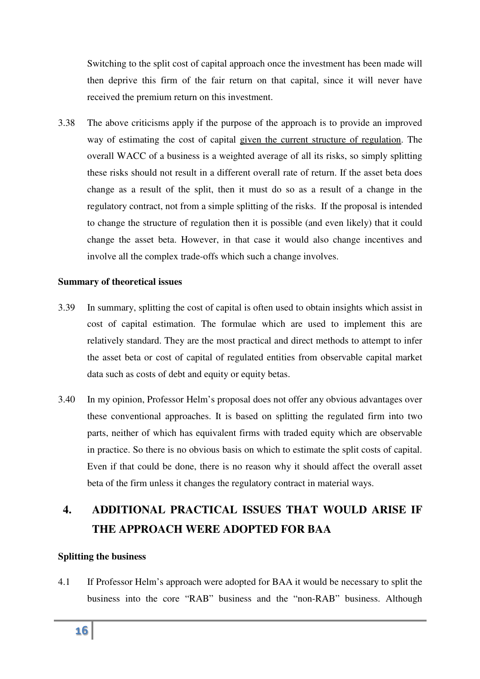Switching to the split cost of capital approach once the investment has been made will then deprive this firm of the fair return on that capital, since it will never have received the premium return on this investment.

3.38 The above criticisms apply if the purpose of the approach is to provide an improved way of estimating the cost of capital given the current structure of regulation. The overall WACC of a business is a weighted average of all its risks, so simply splitting these risks should not result in a different overall rate of return. If the asset beta does change as a result of the split, then it must do so as a result of a change in the regulatory contract, not from a simple splitting of the risks. If the proposal is intended to change the structure of regulation then it is possible (and even likely) that it could change the asset beta. However, in that case it would also change incentives and involve all the complex trade-offs which such a change involves.

#### **Summary of theoretical issues**

- 3.39 In summary, splitting the cost of capital is often used to obtain insights which assist in cost of capital estimation. The formulae which are used to implement this are relatively standard. They are the most practical and direct methods to attempt to infer the asset beta or cost of capital of regulated entities from observable capital market data such as costs of debt and equity or equity betas.
- 3.40 In my opinion, Professor Helm's proposal does not offer any obvious advantages over these conventional approaches. It is based on splitting the regulated firm into two parts, neither of which has equivalent firms with traded equity which are observable in practice. So there is no obvious basis on which to estimate the split costs of capital. Even if that could be done, there is no reason why it should affect the overall asset beta of the firm unless it changes the regulatory contract in material ways.

## **4. ADDITIONAL PRACTICAL ISSUES THAT WOULD ARISE IF THE APPROACH WERE ADOPTED FOR BAA**

#### **Splitting the business**

4.1 If Professor Helm's approach were adopted for BAA it would be necessary to split the business into the core "RAB" business and the "non-RAB" business. Although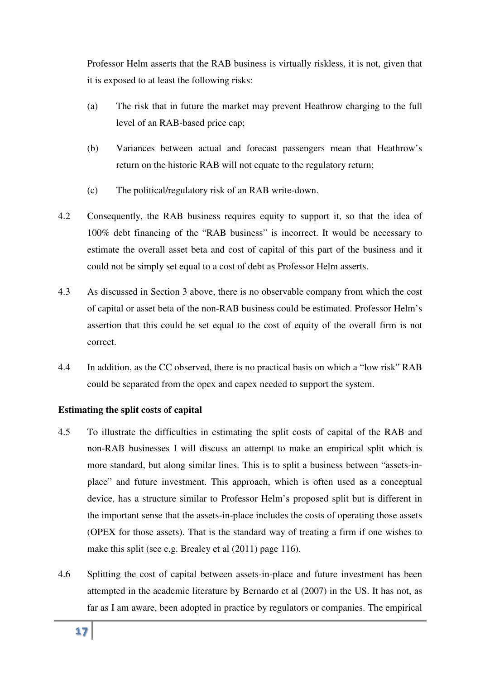Professor Helm asserts that the RAB business is virtually riskless, it is not, given that it is exposed to at least the following risks:

- (a) The risk that in future the market may prevent Heathrow charging to the full level of an RAB-based price cap;
- (b) Variances between actual and forecast passengers mean that Heathrow's return on the historic RAB will not equate to the regulatory return;
- (c) The political/regulatory risk of an RAB write-down.
- 4.2 Consequently, the RAB business requires equity to support it, so that the idea of 100% debt financing of the "RAB business" is incorrect. It would be necessary to estimate the overall asset beta and cost of capital of this part of the business and it could not be simply set equal to a cost of debt as Professor Helm asserts.
- 4.3 As discussed in Section 3 above, there is no observable company from which the cost of capital or asset beta of the non-RAB business could be estimated. Professor Helm's assertion that this could be set equal to the cost of equity of the overall firm is not correct.
- 4.4 In addition, as the CC observed, there is no practical basis on which a "low risk" RAB could be separated from the opex and capex needed to support the system.

#### **Estimating the split costs of capital**

- 4.5 To illustrate the difficulties in estimating the split costs of capital of the RAB and non-RAB businesses I will discuss an attempt to make an empirical split which is more standard, but along similar lines. This is to split a business between "assets-inplace" and future investment. This approach, which is often used as a conceptual device, has a structure similar to Professor Helm's proposed split but is different in the important sense that the assets-in-place includes the costs of operating those assets (OPEX for those assets). That is the standard way of treating a firm if one wishes to make this split (see e.g. Brealey et al (2011) page 116).
- 4.6 Splitting the cost of capital between assets-in-place and future investment has been attempted in the academic literature by Bernardo et al (2007) in the US. It has not, as far as I am aware, been adopted in practice by regulators or companies. The empirical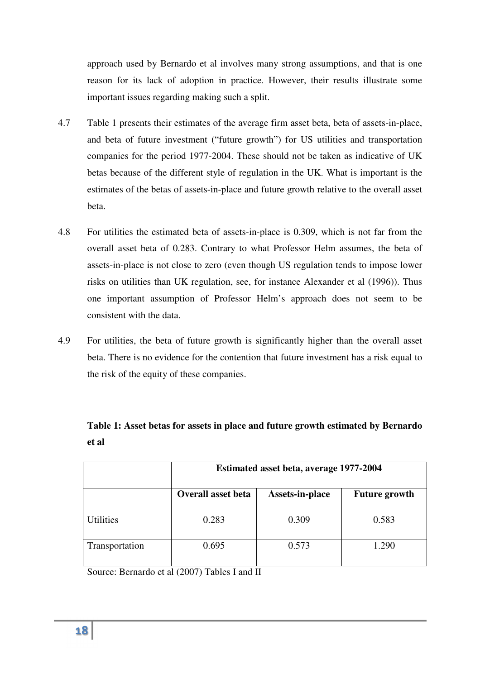approach used by Bernardo et al involves many strong assumptions, and that is one reason for its lack of adoption in practice. However, their results illustrate some important issues regarding making such a split.

- 4.7 Table 1 presents their estimates of the average firm asset beta, beta of assets-in-place, and beta of future investment ("future growth") for US utilities and transportation companies for the period 1977-2004. These should not be taken as indicative of UK betas because of the different style of regulation in the UK. What is important is the estimates of the betas of assets-in-place and future growth relative to the overall asset beta.
- 4.8 For utilities the estimated beta of assets-in-place is 0.309, which is not far from the overall asset beta of 0.283. Contrary to what Professor Helm assumes, the beta of assets-in-place is not close to zero (even though US regulation tends to impose lower risks on utilities than UK regulation, see, for instance Alexander et al (1996)). Thus one important assumption of Professor Helm's approach does not seem to be consistent with the data.
- 4.9 For utilities, the beta of future growth is significantly higher than the overall asset beta. There is no evidence for the contention that future investment has a risk equal to the risk of the equity of these companies.

|                  | Estimated asset beta, average 1977-2004 |                 |                      |
|------------------|-----------------------------------------|-----------------|----------------------|
|                  | <b>Overall asset beta</b>               | Assets-in-place | <b>Future growth</b> |
| <b>Utilities</b> | 0.283                                   | 0.309           | 0.583                |
| Transportation   | 0.695                                   | 0.573           | 1.290                |

**Table 1: Asset betas for assets in place and future growth estimated by Bernardo et al** 

Source: Bernardo et al (2007) Tables I and II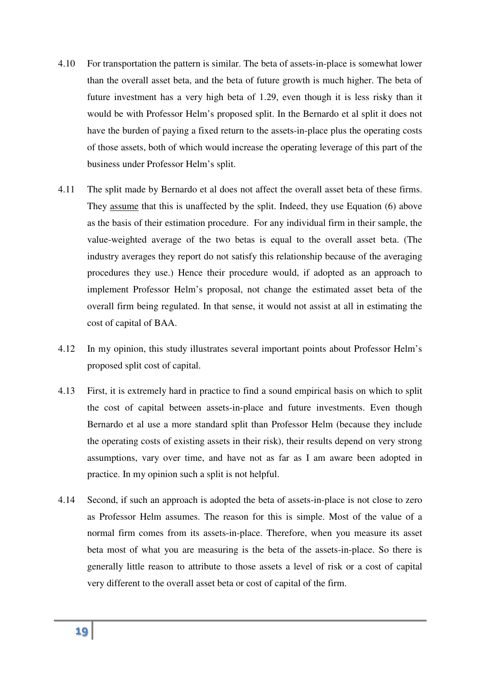- 4.10 For transportation the pattern is similar. The beta of assets-in-place is somewhat lower than the overall asset beta, and the beta of future growth is much higher. The beta of future investment has a very high beta of 1.29, even though it is less risky than it would be with Professor Helm's proposed split. In the Bernardo et al split it does not have the burden of paying a fixed return to the assets-in-place plus the operating costs of those assets, both of which would increase the operating leverage of this part of the business under Professor Helm's split.
- 4.11 The split made by Bernardo et al does not affect the overall asset beta of these firms. They <u>assume</u> that this is unaffected by the split. Indeed, they use Equation (6) above as the basis of their estimation procedure. For any individual firm in their sample, the value-weighted average of the two betas is equal to the overall asset beta. (The industry averages they report do not satisfy this relationship because of the averaging procedures they use.) Hence their procedure would, if adopted as an approach to implement Professor Helm's proposal, not change the estimated asset beta of the overall firm being regulated. In that sense, it would not assist at all in estimating the cost of capital of BAA.
- 4.12 In my opinion, this study illustrates several important points about Professor Helm's proposed split cost of capital.
- 4.13 First, it is extremely hard in practice to find a sound empirical basis on which to split the cost of capital between assets-in-place and future investments. Even though Bernardo et al use a more standard split than Professor Helm (because they include the operating costs of existing assets in their risk), their results depend on very strong assumptions, vary over time, and have not as far as I am aware been adopted in practice. In my opinion such a split is not helpful.
- 4.14 Second, if such an approach is adopted the beta of assets-in-place is not close to zero as Professor Helm assumes. The reason for this is simple. Most of the value of a normal firm comes from its assets-in-place. Therefore, when you measure its asset beta most of what you are measuring is the beta of the assets-in-place. So there is generally little reason to attribute to those assets a level of risk or a cost of capital very different to the overall asset beta or cost of capital of the firm.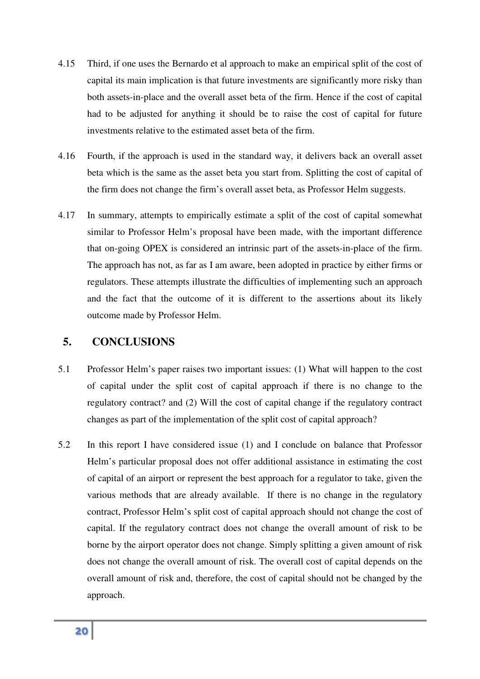- 4.15 Third, if one uses the Bernardo et al approach to make an empirical split of the cost of capital its main implication is that future investments are significantly more risky than both assets-in-place and the overall asset beta of the firm. Hence if the cost of capital had to be adjusted for anything it should be to raise the cost of capital for future investments relative to the estimated asset beta of the firm.
- 4.16 Fourth, if the approach is used in the standard way, it delivers back an overall asset beta which is the same as the asset beta you start from. Splitting the cost of capital of the firm does not change the firm's overall asset beta, as Professor Helm suggests.
- 4.17 In summary, attempts to empirically estimate a split of the cost of capital somewhat similar to Professor Helm's proposal have been made, with the important difference that on-going OPEX is considered an intrinsic part of the assets-in-place of the firm. The approach has not, as far as I am aware, been adopted in practice by either firms or regulators. These attempts illustrate the difficulties of implementing such an approach and the fact that the outcome of it is different to the assertions about its likely outcome made by Professor Helm.

#### **5. CONCLUSIONS**

- 5.1 Professor Helm's paper raises two important issues: (1) What will happen to the cost of capital under the split cost of capital approach if there is no change to the regulatory contract? and (2) Will the cost of capital change if the regulatory contract changes as part of the implementation of the split cost of capital approach?
- 5.2 In this report I have considered issue (1) and I conclude on balance that Professor Helm's particular proposal does not offer additional assistance in estimating the cost of capital of an airport or represent the best approach for a regulator to take, given the various methods that are already available. If there is no change in the regulatory contract, Professor Helm's split cost of capital approach should not change the cost of capital. If the regulatory contract does not change the overall amount of risk to be borne by the airport operator does not change. Simply splitting a given amount of risk does not change the overall amount of risk. The overall cost of capital depends on the overall amount of risk and, therefore, the cost of capital should not be changed by the approach.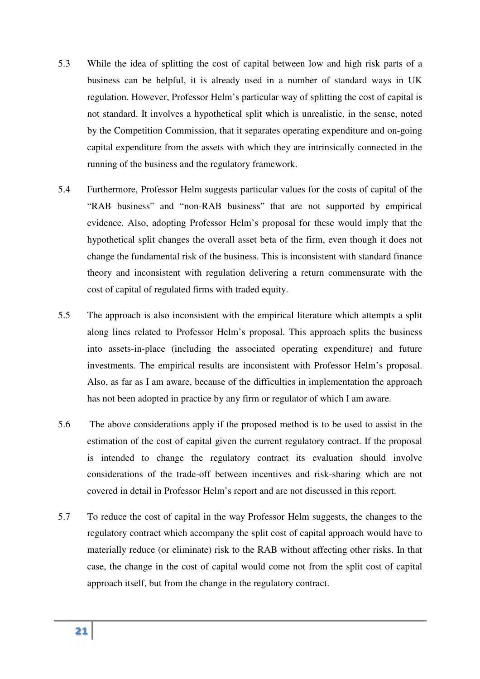- 5.3 While the idea of splitting the cost of capital between low and high risk parts of a business can be helpful, it is already used in a number of standard ways in UK regulation. However, Professor Helm's particular way of splitting the cost of capital is not standard. It involves a hypothetical split which is unrealistic, in the sense, noted by the Competition Commission, that it separates operating expenditure and on-going capital expenditure from the assets with which they are intrinsically connected in the running of the business and the regulatory framework.
- 5.4 Furthermore, Professor Helm suggests particular values for the costs of capital of the "RAB business" and "non-RAB business" that are not supported by empirical evidence. Also, adopting Professor Helm's proposal for these would imply that the hypothetical split changes the overall asset beta of the firm, even though it does not change the fundamental risk of the business. This is inconsistent with standard finance theory and inconsistent with regulation delivering a return commensurate with the cost of capital of regulated firms with traded equity.
- 5.5 The approach is also inconsistent with the empirical literature which attempts a split along lines related to Professor Helm's proposal. This approach splits the business into assets-in-place (including the associated operating expenditure) and future investments. The empirical results are inconsistent with Professor Helm's proposal. Also, as far as I am aware, because of the difficulties in implementation the approach has not been adopted in practice by any firm or regulator of which I am aware.
- 5.6 The above considerations apply if the proposed method is to be used to assist in the estimation of the cost of capital given the current regulatory contract. If the proposal is intended to change the regulatory contract its evaluation should involve considerations of the trade-off between incentives and risk-sharing which are not covered in detail in Professor Helm's report and are not discussed in this report.
- 5.7 To reduce the cost of capital in the way Professor Helm suggests, the changes to the regulatory contract which accompany the split cost of capital approach would have to materially reduce (or eliminate) risk to the RAB without affecting other risks. In that case, the change in the cost of capital would come not from the split cost of capital approach itself, but from the change in the regulatory contract.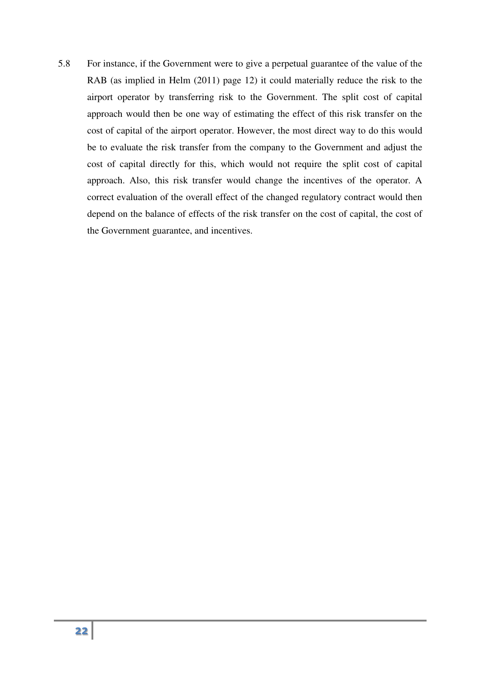5.8 For instance, if the Governmot were to give a perpetual guarantee of the value of the value of the value of the value of the value of the airport operator by transferring risk to the Government. The split cost of capi RAB (as implied in Helm (2011) page 12) it could materially reduce the risk to the airport operator by transferring risk to the Government. The split cost of capital approach would then be one way of estimating the effect of this risk transfer on the cost of capital of the airport operator. However, the most direct way to do this would be to evaluate the risk transfer from the company to the Government and adjust the cost of capital directly for this, which would not require the split cost of capital approach. Also, this risk transfer would change the incentives of the operator. A correct evaluation of the overall effect of the changed regulatory contract would then depend on the balance of effects of the risk transfer on the cost of capital, the cost of the Government guarantee, and incentives.